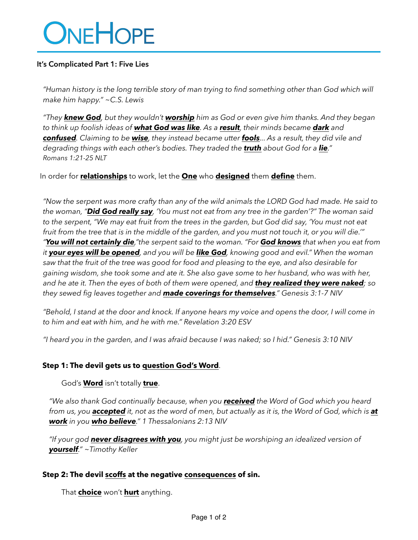# ONEHOPE

## **It's Complicated Part 1: Five Lies**

*"Human history is the long terrible story of man trying to find something other than God which will make him happy." ~C.S. Lewis*

*"They knew God, but they wouldn't worship him as God or even give him thanks. And they began to think up foolish ideas of what God was like. As a result, their minds became dark and confused. Claiming to be wise, they instead became utter fools... As a result, they did vile and degrading things with each other's bodies. They traded the truth about God for a lie." Romans 1:21-25 NLT*

In order for **relationships** to work, let the **One** who **designed** them **define** them.

*"Now the serpent was more crafty than any of the wild animals the LORD God had made. He said to the woman, "Did God really say, 'You must not eat from any tree in the garden'?" The woman said to the serpent, "We may eat fruit from the trees in the garden, but God did say, 'You must not eat fruit from the tree that is in the middle of the garden, and you must not touch it, or you will die.'" "You will not certainly die,"the serpent said to the woman. "For God knows that when you eat from it your eyes will be opened, and you will be like God, knowing good and evil." When the woman saw that the fruit of the tree was good for food and pleasing to the eye, and also desirable for gaining wisdom, she took some and ate it. She also gave some to her husband, who was with her, and he ate it. Then the eyes of both of them were opened, and they realized they were naked; so they sewed fig leaves together and made coverings for themselves." Genesis 3:1-7 NIV*

*"Behold, I stand at the door and knock. If anyone hears my voice and opens the door, I will come in to him and eat with him, and he with me." Revelation 3:20 ESV*

*"I heard you in the garden, and I was afraid because I was naked; so I hid." Genesis 3:10 NIV*

## **Step 1: The devil gets us to question God's Word**.

## God's **Word** isn't totally **true**.

*"We also thank God continually because, when you received the Word of God which you heard from us, you accepted it, not as the word of men, but actually as it is, the Word of God, which is at work in you who believe." 1 Thessalonians 2:13 NIV*

*"If your god never disagrees with you, you might just be worshiping an idealized version of yourself." ~Timothy Keller*

## **Step 2: The devil scoffs at the negative consequences of sin.**

That **choice** won't **hurt** anything.